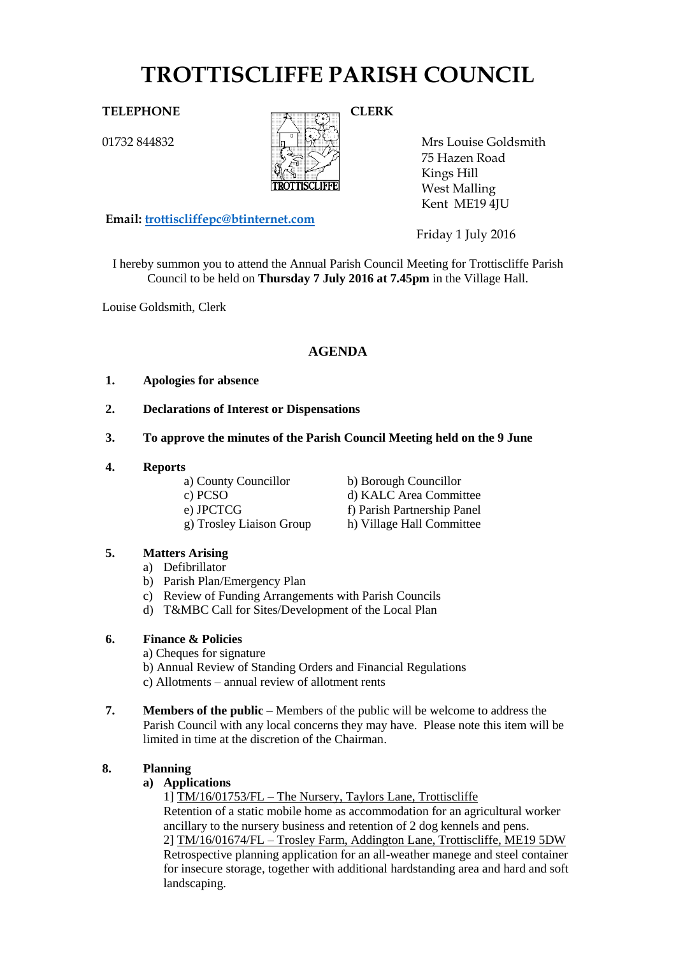# **TROTTISCLIFFE PARISH COUNCIL**

01732 844832



Mrs Louise Goldsmith 75 Hazen Road Kings Hill West Malling Kent ME19 4JU

**Email: [trottiscliffepc@btinternet.com](mailto:trottiscliffepc@btinternet.com)**

Friday 1 July 2016

I hereby summon you to attend the Annual Parish Council Meeting for Trottiscliffe Parish Council to be held on **Thursday 7 July 2016 at 7.45pm** in the Village Hall.

Louise Goldsmith, Clerk

# **AGENDA**

#### **1. Apologies for absence**

- **2. Declarations of Interest or Dispensations**
- **3. To approve the minutes of the Parish Council Meeting held on the 9 June**

#### **4. Reports**

- 
- 
- a) County Councillor b) Borough Councillor c) PCSO d) KALC Area Committee e) JPCTCG f) Parish Partnership Panel g) Trosley Liaison Group h) Village Hall Committee

### **5. Matters Arising**

- a) Defibrillator
- b) Parish Plan/Emergency Plan
- c) Review of Funding Arrangements with Parish Councils
- d) T&MBC Call for Sites/Development of the Local Plan

# **6. Finance & Policies**

- a) Cheques for signature b) Annual Review of Standing Orders and Financial Regulations c) Allotments – annual review of allotment rents
- 
- **7. Members of the public** Members of the public will be welcome to address the Parish Council with any local concerns they may have. Please note this item will be limited in time at the discretion of the Chairman.

# **8. Planning**

### **a) Applications**

1] TM/16/01753/FL – The Nursery, Taylors Lane, Trottiscliffe Retention of a static mobile home as accommodation for an agricultural worker ancillary to the nursery business and retention of 2 dog kennels and pens. 2] TM/16/01674/FL – Trosley Farm, Addington Lane, Trottiscliffe, ME19 5DW Retrospective planning application for an all-weather manege and steel container for insecure storage, together with additional hardstanding area and hard and soft landscaping.